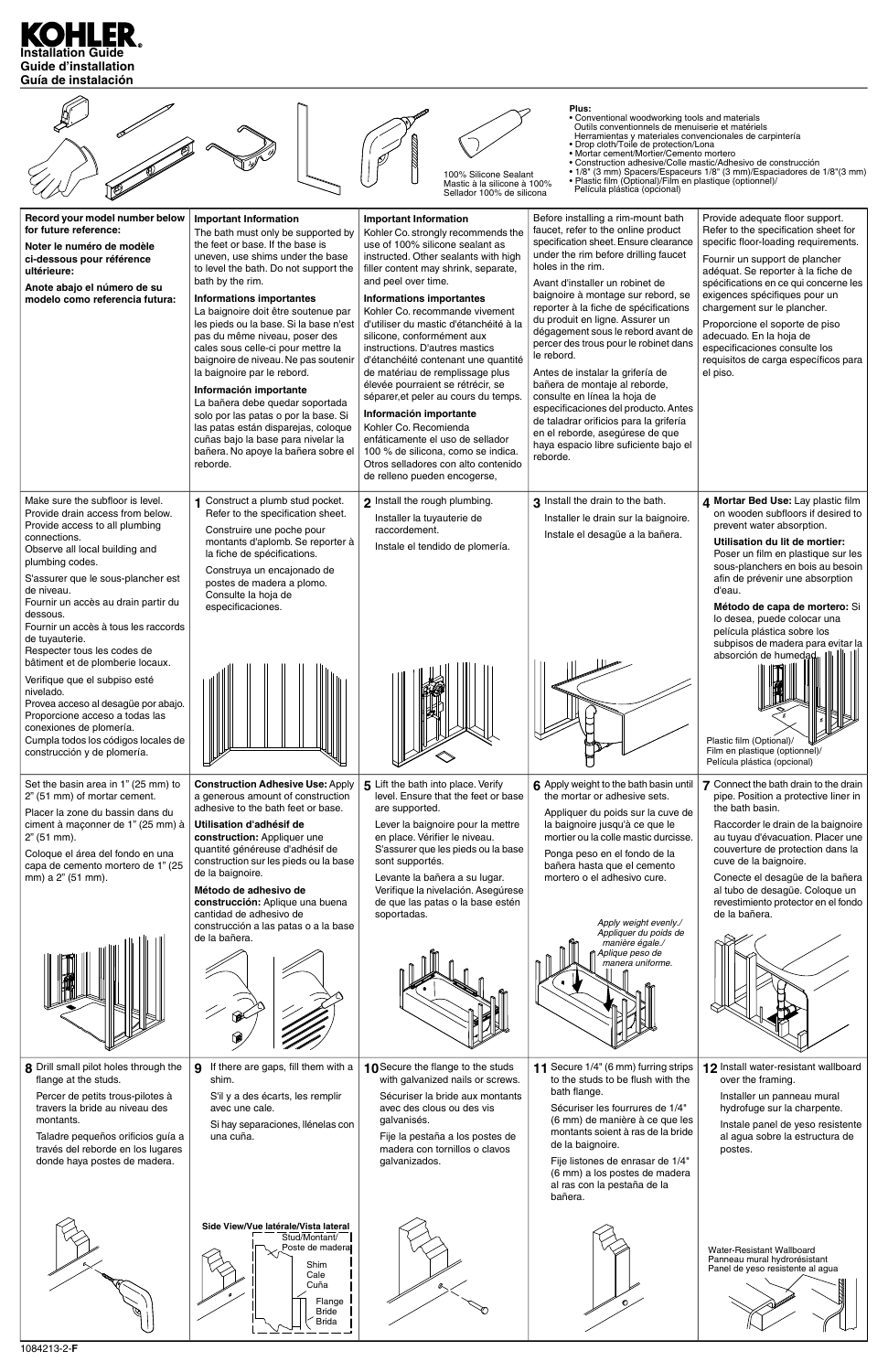



|                                                                                                                                                                                                                                                            | ۷                                                                                                                                                         |                                                                                                                                                                                                                                           |                                                                                                                                                                                                                                                                                                                                     |                                                                                                                                                                                                         |
|------------------------------------------------------------------------------------------------------------------------------------------------------------------------------------------------------------------------------------------------------------|-----------------------------------------------------------------------------------------------------------------------------------------------------------|-------------------------------------------------------------------------------------------------------------------------------------------------------------------------------------------------------------------------------------------|-------------------------------------------------------------------------------------------------------------------------------------------------------------------------------------------------------------------------------------------------------------------------------------------------------------------------------------|---------------------------------------------------------------------------------------------------------------------------------------------------------------------------------------------------------|
| 8 Drill small pilot holes through the<br>flange at the studs.<br>Percer de petits trous-pilotes à<br>travers la bride au niveau des<br>montants.<br>Taladre pequeños orificios guía a<br>través del reborde en los lugares<br>donde haya postes de madera. | If there are gaps, fill them with a<br>9<br>shim.<br>S'il y a des écarts, les remplir<br>avec une cale.<br>Si hay separaciones, llénelas con<br>una cuña. | 10 Secure the flange to the studs<br>with galvanized nails or screws.<br>Sécuriser la bride aux montants<br>avec des clous ou des vis<br>galvanisés.<br>Fije la pestaña a los postes de<br>madera con tornillos o clavos<br>galvanizados. | Secure 1/4" (6 mm) furring strips<br>to the studs to be flush with the<br>bath flange.<br>Sécuriser les fourrures de 1/4"<br>(6 mm) de manière à ce que les<br>montants soient à ras de la bride<br>de la baignoire.<br>Fije listones de enrasar de 1/4"<br>(6 mm) a los postes de madera<br>al ras con la pestaña de la<br>bañera. | 12 Install water-resistant wallboard<br>over the framing.<br>Installer un panneau mural<br>hydrofuge sur la charpente.<br>Instale panel de yeso resistente<br>al agua sobre la estructura de<br>postes. |
|                                                                                                                                                                                                                                                            | Side View/Vue latérale/Vista lateral<br>Stud/Montant/<br>Poste de maderal<br>Shim<br>Cale<br>Cuña<br>Flange<br><b>Bride</b><br><b>Brida</b>               |                                                                                                                                                                                                                                           |                                                                                                                                                                                                                                                                                                                                     | Water-Resistant Wallboard<br>Panneau mural hydrorésistant<br>Panel de yeso resistente al agua                                                                                                           |